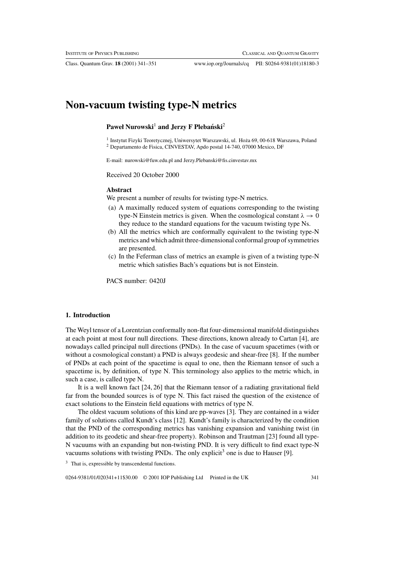Class. Quantum Grav. **18** (2001) 341–351 www.iop.org/Journals/cq PII: S0264-9381(01)18180-3

# **Non-vacuum twisting type-N metrics**

#### Paweł Nurowski<sup>1</sup> and Jerzy F Plebanski<sup>2</sup>

<sup>1</sup> Instytut Fizyki Teoretycznej, Uniwersytet Warszawski, ul. Hoża 69, 00-618 Warszawa, Poland <sup>2</sup> Departamento de Fisica, CINVESTAV, Apdo postal 14-740, 07000 Mexico, DF

E-mail: nurowski@fuw.edu.pl and Jerzy.Plebanski@fis.cinvestav.mx

Received 20 October 2000

#### **Abstract**

We present a number of results for twisting type-N metrics.

- (a) A maximally reduced system of equations corresponding to the twisting type-N Einstein metrics is given. When the cosmological constant  $\lambda \rightarrow 0$ they reduce to the standard equations for the vacuum twisting type Ns.
- (b) All the metrics which are conformally equivalent to the twisting type-N metrics and which admit three-dimensional conformal group of symmetries are presented.
- (c) In the Feferman class of metrics an example is given of a twisting type-N metric which satisfies Bach's equations but is not Einstein.

PACS number: 0420J

## **1. Introduction**

The Weyl tensor of a Lorentzian conformally non-flat four-dimensional manifold distinguishes at each point at most four null directions. These directions, known already to Cartan [4], are nowadays called principal null directions (PNDs). In the case of vacuum spacetimes (with or without a cosmological constant) a PND is always geodesic and shear-free [8]. If the number of PNDs at each point of the spacetime is equal to one, then the Riemann tensor of such a spacetime is, by definition, of type N. This terminology also applies to the metric which, in such a case, is called type N.

It is a well known fact [24, 26] that the Riemann tensor of a radiating gravitational field far from the bounded sources is of type N. This fact raised the question of the existence of exact solutions to the Einstein field equations with metrics of type N.

The oldest vacuum solutions of this kind are pp-waves [3]. They are contained in a wider family of solutions called Kundt's class [12]. Kundt's family is characterized by the condition that the PND of the corresponding metrics has vanishing expansion and vanishing twist (in addition to its geodetic and shear-free property). Robinson and Trautman [23] found all type-N vacuums with an expanding but non-twisting PND. It is very difficult to find exact type-N vacuums solutions with twisting PNDs. The only explicit<sup>3</sup> one is due to Hauser [9].

<sup>3</sup> That is, expressible by transcendental functions.

0264-9381/01/020341+11\$30.00 © 2001 IOP Publishing Ltd Printed in the UK 341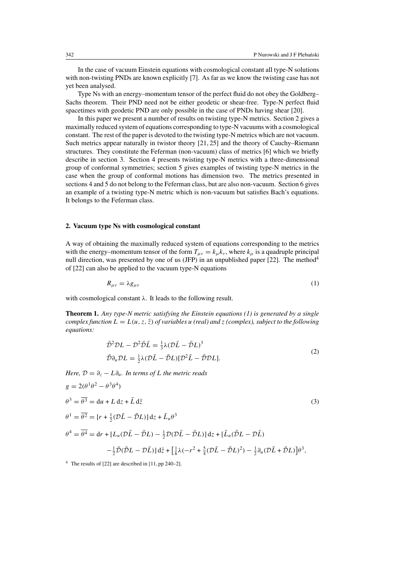In the case of vacuum Einstein equations with cosmological constant all type-N solutions with non-twisting PNDs are known explicitly [7]. As far as we know the twisting case has not yet been analysed.

Type Ns with an energy–momentum tensor of the perfect fluid do not obey the Goldberg– Sachs theorem. Their PND need not be either geodetic or shear-free. Type-N perfect fluid spacetimes with geodetic PND are only possible in the case of PNDs having shear [20].

In this paper we present a number of results on twisting type-N metrics. Section 2 gives a maximally reduced system of equations corresponding to type-N vacuums with a cosmological constant. The rest of the paper is devoted to the twisting type-N metrics which are not vacuum. Such metrics appear naturally in twistor theory [21, 25] and the theory of Cauchy–Riemann structures. They constitute the Feferman (non-vacuum) class of metrics [6] which we briefly describe in section 3. Section 4 presents twisting type-N metrics with a three-dimensional group of conformal symmetries; section 5 gives examples of twisting type-N metrics in the case when the group of conformal motions has dimension two. The metrics presented in sections 4 and 5 do not belong to the Feferman class, but are also non-vacuum. Section 6 gives an example of a twisting type-N metric which is non-vacuum but satisfies Bach's equations. It belongs to the Feferman class.

## **2. Vacuum type Ns with cosmological constant**

A way of obtaining the maximally reduced system of equations corresponding to the metrics with the energy–momentum tensor of the form  $T_{\mu\nu} = k_{\mu}k_{\nu}$ , where  $k_{\mu}$  is a quadruple principal null direction, was presented by one of us (JFP) in an unpublished paper [22]. The method<sup>4</sup> of [22] can also be applied to the vacuum type-N equations

$$
R_{\mu\nu} = \lambda g_{\mu\nu} \tag{1}
$$

with cosmological constant  $\lambda$ . It leads to the following result.

**Theorem 1.** *Any type-N metric satisfying the Einstein equations (1) is generated by a single complex function*  $L = L(u, z, \overline{z})$  *of variables* u *(real) and* z *(complex), subject to the following equations:*

$$
\bar{\mathcal{D}}^2 \mathcal{D}L - \mathcal{D}^2 \bar{\mathcal{D}}\bar{L} = \frac{1}{3}\lambda (\mathcal{D}\bar{L} - \bar{\mathcal{D}}L)^3
$$
  
\n
$$
\bar{\mathcal{D}}\partial_u \mathcal{D}L = \frac{1}{2}\lambda (\mathcal{D}\bar{L} - \bar{\mathcal{D}}L)[\mathcal{D}^2 \bar{L} - \bar{\mathcal{D}}\mathcal{D}L].
$$
\n(2)

*Here,*  $\mathcal{D} = \partial_z - L \partial_u$ *. In terms of L the metric reads* 

$$
g = 2(\theta^1 \theta^2 - \theta^3 \theta^4)
$$
  
\n
$$
\theta^3 = \overline{\theta^3} = du + L dz + \bar{L} d\bar{z}
$$
  
\n
$$
\theta^1 = \overline{\theta^2} = [r + \frac{1}{2}(\mathcal{D}\bar{L} - \bar{\mathcal{D}}L)] dz + \bar{L}_u \theta^3
$$
  
\n
$$
\theta^4 = \overline{\theta^4} = dr + [L_u(\mathcal{D}\bar{L} - \bar{\mathcal{D}}L) - \frac{1}{2}\mathcal{D}(\mathcal{D}\bar{L} - \bar{\mathcal{D}}L)] dz + [\bar{L}_u(\bar{\mathcal{D}}L - \mathcal{D}\bar{L})
$$
  
\n
$$
-\frac{1}{2}\bar{\mathcal{D}}(\bar{\mathcal{D}}L - \mathcal{D}\bar{L})] d\bar{z} + [\frac{1}{6}\lambda(-r^2 + \frac{5}{4}(\mathcal{D}\bar{L} - \bar{\mathcal{D}}L)^2) - \frac{1}{2}\partial_u(\mathcal{D}\bar{L} + \bar{\mathcal{D}}L)] \theta^3,
$$
\n(3)

<sup>4</sup> The results of [22] are described in [11, pp 240–2].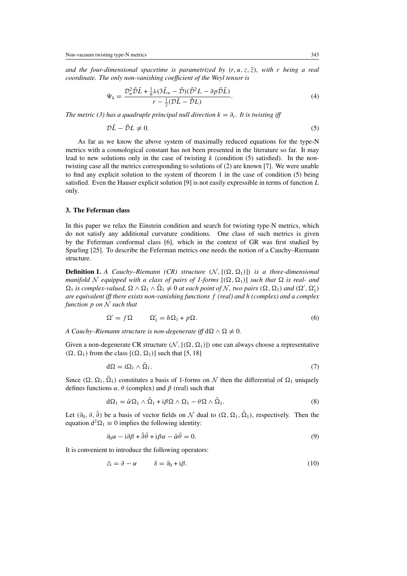*and the four-dimensional spacetime is parametrized by*  $(r, u, z, \overline{z})$ *, with* r *being a real coordinate. The only non-vanishing coefficient of the Weyl tensor is*

$$
\Psi_4 = \frac{\mathcal{D}_u^2 \bar{\mathcal{D}} \bar{L} + \frac{1}{6} \lambda (3 \bar{L}_u - \bar{\mathcal{D}}) (\bar{\mathcal{D}}^2 L - \partial p \bar{\mathcal{D}} \bar{L})}{r - \frac{1}{2} (\mathcal{D} \bar{L} - \bar{\mathcal{D}} L)}.
$$
(4)

*The metric (3) has a quadruple principal null direction*  $k = \partial_r$ *. It is twisting iff* 

$$
\mathcal{D}\bar{L} - \bar{\mathcal{D}}L \neq 0. \tag{5}
$$

As far as we know the above system of maximally reduced equations for the type-N metrics with a cosmological constant has not been presented in the literature so far. It may lead to new solutions only in the case of twisting  $k$  (condition (5) satisfied). In the nontwisting case all the metrics corresponding to solutions of (2) are known [7]. We were unable to find any explicit solution to the system of theorem 1 in the case of condition (5) being satisfied. Even the Hauser explicit solution [9] is not easily expressible in terms of function  $L$ only.

# **3. The Feferman class**

In this paper we relax the Einstein condition and search for twisting type-N metrics, which do not satisfy any additional curvature conditions. One class of such metrics is given by the Feferman conformal class [6], which in the context of GR was first studied by Sparling [25]. To describe the Feferman metrics one needs the notion of a Cauchy–Riemann structure.

**Definition 1.** *A Cauchy–Riemann (CR) structure*  $(N, [(\Omega, \Omega_1)])$  *is a three-dimensional manifold* N equipped with a class of pairs of 1-forms  $[(\Omega, \Omega_1)]$  *such that*  $\Omega$  *is real- and*  $\Omega_1$  *is complex-valued,*  $\Omega \wedge \Omega_1 \wedge \Omega_1 \neq 0$  *at each point of* N, *two pairs*  $(\Omega, \Omega_1)$  *and*  $(\Omega', \Omega'_1)$ *are equivalent iff there exists non-vanishing functions* f *(real) and* h *(complex) and a complex function* p *on* N *such that*

$$
\Omega' = f\Omega \qquad \Omega'_1 = h\Omega_1 + p\Omega. \tag{6}
$$

*A Cauchy–Riemann structure is non-degenerate iff*  $d\Omega \wedge \Omega \neq 0$ .

Given a non-degenerate CR structure  $(\mathcal{N}, [(\Omega, \Omega_1)])$  one can always choose a representative  $(\Omega, \Omega_1)$  from the class  $[(\Omega, \Omega_1)]$  such that [5, 18]

$$
d\Omega = i\Omega_1 \wedge \bar{\Omega}_1. \tag{7}
$$

Since  $(\Omega, \Omega_1, \overline{\Omega}_1)$  constitutes a basis of 1-forms on N then the differential of  $\Omega_1$  uniquely defines functions  $\alpha$ ,  $\theta$  (complex) and  $\beta$  (real) such that

$$
d\Omega_1 = \bar{\alpha}\Omega_1 \wedge \bar{\Omega}_1 + i\beta\Omega \wedge \Omega_1 - \theta\Omega \wedge \bar{\Omega}_1. \tag{8}
$$

Let  $(\partial_0, \partial, \overline{\partial})$  be a basis of vector fields on N dual to  $(\Omega, \Omega_1, \overline{\Omega}_1)$ , respectively. Then the equation  $d^2\Omega_1 \equiv 0$  implies the following identity:

$$
\partial_0 \alpha - i \partial \beta + \partial \theta + i \beta \alpha - \bar{\alpha} \theta = 0. \tag{9}
$$

It is convenient to introduce the following operators:

$$
\Delta = \partial - \alpha \qquad \delta = \partial_0 + i\beta. \tag{10}
$$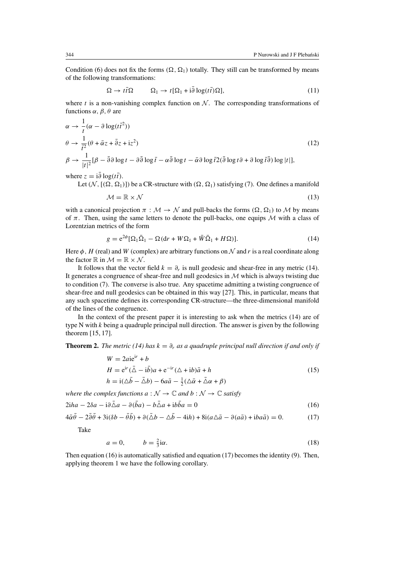Condition (6) does not fix the forms  $(\Omega, \Omega_1)$  totally. They still can be transformed by means of the following transformations:

$$
\Omega \to t\bar{t}\Omega \qquad \Omega_1 \to t[\Omega_1 + i\partial \log(t\bar{t})\Omega], \tag{11}
$$

where t is a non-vanishing complex function on  $\mathcal N$ . The corresponding transformations of functions  $\alpha$ ,  $\beta$ ,  $\theta$  are

$$
\alpha \to \frac{1}{t}(\alpha - \partial \log(t\bar{t}^2))
$$
  
\n
$$
\theta \to \frac{1}{\bar{t}^2}(\theta + \bar{\alpha}z + \bar{\partial}z + iz^2)
$$
  
\n
$$
\beta \to \frac{1}{|t|^2}[\beta - \bar{\partial}\partial \log t - \partial \bar{\partial} \log \bar{t} - \alpha \bar{\partial} \log t - \bar{\alpha}\partial \log \bar{t}^2(\bar{\partial} \log t\partial + \partial \log \bar{t}\bar{\partial}) \log |t|],
$$
\n(12)

where  $z = i\overline{\partial} \log(t\overline{t}).$ 

Let  $(N, [(\Omega, \Omega_1)])$  be a CR-structure with  $(\Omega, \Omega_1)$  satisfying (7). One defines a manifold

$$
\mathcal{M} = \mathbb{R} \times \mathcal{N} \tag{13}
$$

with a canonical projection  $\pi : \mathcal{M} \to \mathcal{N}$  and pull-backs the forms  $(\Omega, \Omega)$  to  $\mathcal M$  by means of  $\pi$ . Then, using the same letters to denote the pull-backs, one equips  $M$  with a class of Lorentzian metrics of the form

$$
g = e^{2\phi} [\Omega_1 \bar{\Omega}_1 - \Omega (dr + W\Omega_1 + \bar{W}\bar{\Omega}_1 + H\Omega)].
$$
\n(14)

Here  $\phi$ , H (real) and W (complex) are arbitrary functions on N and r is a real coordinate along the factor  $\mathbb R$  in  $\mathcal M = \mathbb R \times \mathcal N$ .

It follows that the vector field  $k = \partial_r$  is null geodesic and shear-free in any metric (14). It generates a congruence of shear-free and null geodesics in  $M$  which is always twisting due to condition (7). The converse is also true. Any spacetime admitting a twisting congruence of shear-free and null geodesics can be obtained in this way [27]. This, in particular, means that any such spacetime defines its corresponding CR-structure—the three-dimensional manifold of the lines of the congruence.

In the context of the present paper it is interesting to ask when the metrics (14) are of type N with  $k$  being a quadruple principal null direction. The answer is given by the following theorem [15, 17].

**Theorem 2.** *The metric (14) has*  $k = \partial_r$  *as a quadruple principal null direction if and only if* 

$$
W = 2ai\dot{e}^{ir} + b
$$
  
\n
$$
H = e^{ir}(\bar{\Delta} - i\bar{b})a + e^{-ir}(\Delta + ib)\bar{a} + h
$$
  
\n
$$
h = i(\Delta\bar{b} - \bar{\Delta}b) - 6a\bar{a} - \frac{1}{2}(\Delta\bar{\alpha} + \bar{\Delta}\alpha + \beta)
$$
\n(15)

*where the complex functions*  $a : \mathcal{N} \to \mathbb{C}$  *and*  $b : \mathcal{N} \to \mathbb{C}$  *satisfy* 

$$
2iha - 2\delta a - i\partial \bar{\Delta} a - \partial(\bar{b}a) - b\bar{\Delta} a + i b\bar{b}a = 0
$$
\n(16)

$$
4\bar{\alpha}\theta - 2\partial\theta + 3i(\delta b - \theta b) + \partial(\Delta b - \Delta b - 4ih) + 8i(a\Delta \bar{a} - \partial(a\bar{a}) + iba\bar{a}) = 0.
$$
 (17)

Take

$$
a = 0, \qquad b = \frac{2}{3}i\alpha. \tag{18}
$$

Then equation (16) is automatically satisfied and equation (17) becomes the identity (9). Then, applying theorem 1 we have the following corollary.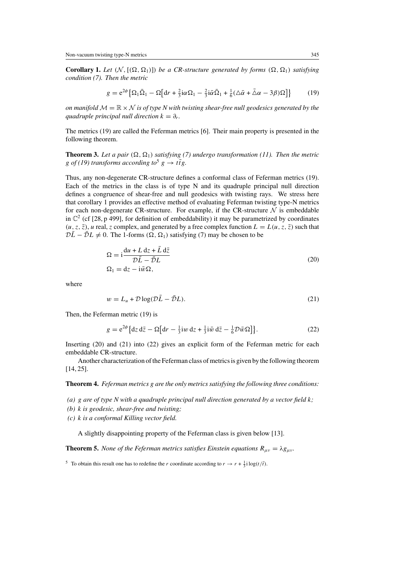**Corollary 1.** Let  $(N, [(\Omega, \Omega_1)])$  be a CR-structure generated by forms  $(\Omega, \Omega_1)$  satisfying *condition (7). Then the metric*

$$
g = e^{2\phi} \left\{ \Omega_1 \bar{\Omega}_1 - \Omega \left[ dr + \frac{2}{3} i \alpha \Omega_1 - \frac{2}{3} i \bar{\alpha} \bar{\Omega}_1 + \frac{1}{6} (\Delta \bar{\alpha} + \bar{\Delta} \alpha - 3 \beta) \Omega \right] \right\}
$$
(19)

*on manifold*  $M = \mathbb{R} \times N$  *is of type N with twisting shear-free null geodesics generated by the guadruple principal null direction*  $k = \partial_r$ *.* 

The metrics (19) are called the Feferman metrics [6]. Their main property is presented in the following theorem.

**Theorem 3.** Let a pair  $(\Omega, \Omega_1)$  satisfying (7) undergo transformation (11). Then the metric g *of* (19) transforms according to<sup>5</sup> g  $\rightarrow$  ttg.

Thus, any non-degenerate CR-structure defines a conformal class of Feferman metrics (19). Each of the metrics in the class is of type N and its quadruple principal null direction defines a congruence of shear-free and null geodesics with twisting rays. We stress here that corollary 1 provides an effective method of evaluating Feferman twisting type-N metrics for each non-degenerate CR-structure. For example, if the CR-structure  $N$  is embeddable in  $\mathbb{C}^2$  (cf [28, p 499], for definition of embeddability) it may be parametrized by coordinates  $(u, z, \overline{z})$ , u real, z complex, and generated by a free complex function  $L = L(u, z, \overline{z})$  such that  $D\overline{L} - \overline{D}L \neq 0$ . The 1-forms  $(\Omega, \Omega_1)$  satisfying (7) may be chosen to be

$$
\Omega = i \frac{du + L dz + L d\bar{z}}{\mathcal{D}\bar{L} - \bar{\mathcal{D}}L}
$$
  
\n
$$
\Omega_1 = dz - i \bar{w} \Omega,
$$
\n(20)

where

$$
w = L_u + \mathcal{D}\log(\mathcal{D}\bar{L} - \bar{\mathcal{D}}L). \tag{21}
$$

Then, the Feferman metric (19) is

$$
g = e^{2\phi} \left\{ dz \, d\bar{z} - \Omega \left[ dr - \frac{1}{3} i w \, dz + \frac{1}{3} i \bar{w} \, d\bar{z} - \frac{1}{6} \mathcal{D} \bar{w} \Omega \right] \right\}.
$$
 (22)

Inserting (20) and (21) into (22) gives an explicit form of the Feferman metric for each embeddable CR-structure.

Another characterization of the Feferman class of metrics is given by the following theorem [14, 25].

**Theorem 4.** *Feferman metrics* g *are the only metrics satisfying the following three conditions:*

- *(a)* g *are of type N with a quadruple principal null direction generated by a vector field* k*;*
- *(b)* k *is geodesic, shear-free and twisting;*
- *(c)* k *is a conformal Killing vector field.*

A slightly disappointing property of the Feferman class is given below [13].

**Theorem 5.** *None of the Feferman metrics satisfies Einstein equations*  $R_{\mu\nu} = \lambda g_{\mu\nu}$ *.* 

<sup>&</sup>lt;sup>5</sup> To obtain this result one has to redefine the *r* coordinate according to  $r \rightarrow r + \frac{1}{3}i \log(t/\bar{t})$ .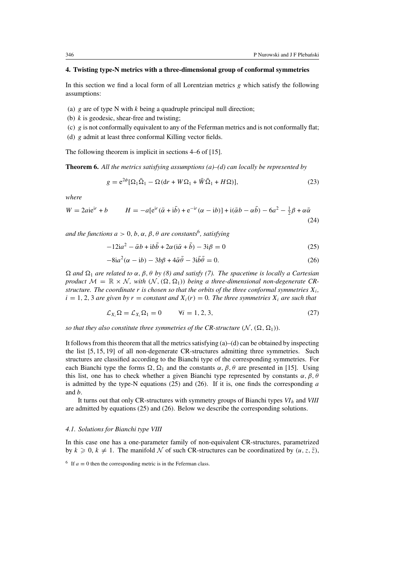### **4. Twisting type-N metrics with a three-dimensional group of conformal symmetries**

In this section we find a local form of all Lorentzian metrics  $g$  which satisfy the following assumptions:

- (a) g are of type N with  $k$  being a quadruple principal null direction;
- (b)  $k$  is geodesic, shear-free and twisting;
- (c)  $g$  is not conformally equivalent to any of the Feferman metrics and is not conformally flat;
- (d) g admit at least three conformal Killing vector fields.

The following theorem is implicit in sections 4–6 of [15].

**Theorem 6.** *All the metrics satisfying assumptions (a)–(d) can locally be represented by*

$$
g = e^{2\phi} [\Omega_1 \bar{\Omega}_1 - \Omega (dr + W\Omega_1 + \bar{W}\bar{\Omega}_1 + H\Omega)],
$$
\n(23)

*where*

$$
W = 2aie^{ir} + b \qquad H = -a[e^{ir}(\bar{\alpha} + i\bar{b}) + e^{-ir}(\alpha - ib)] + i(\bar{\alpha}b - \alpha\bar{b}) - 6a^2 - \frac{1}{2}\beta + \alpha\bar{\alpha}
$$
\n(24)

*and the functions*  $a > 0$ ,  $b$ ,  $\alpha$ ,  $\beta$ ,  $\theta$  *are constants*<sup>6</sup>, *satisfying* 

$$
-12ia^2 - \bar{\alpha}b + ib\bar{b} + 2\alpha(i\bar{\alpha} + \bar{b}) - 3i\beta = 0
$$
 (25)

$$
-8ia^2(\alpha - ib) - 3b\beta + 4\overline{\alpha}\overline{\theta} - 3i\overline{\theta}\overline{\theta} = 0.
$$
 (26)

 $\Omega$  *and*  $\Omega_1$  *are related to*  $\alpha$ ,  $\beta$ ,  $\theta$  *by* (8) *and satisfy* (7). The spacetime is locally a Cartesian *product*  $M = \mathbb{R} \times \mathbb{N}$ , with  $(\mathbb{N}, (\Omega, \Omega_1))$  *being a three-dimensional non-degenerate CRstructure. The coordinate* r *is chosen so that the orbits of the three conformal symmetries*  $X_i$ ,  $i = 1, 2, 3$  *are given by*  $r = constant$  *and*  $X_i(r) = 0$ *. The three symmetries*  $X_i$  *are such that* 

$$
\mathcal{L}_{X_i}\Omega = \mathcal{L}_{X_i}\Omega_1 = 0 \qquad \forall i = 1, 2, 3,
$$
\n
$$
(27)
$$

*so that they also constitute three symmetries of the CR-structure*  $(N, (\Omega, \Omega_1))$ *.* 

It follows from this theorem that all the metrics satisfying  $(a)$ – $(d)$  can be obtained by inspecting the list [5, 15, 19] of all non-degenerate CR-structures admitting three symmetries. Such structures are classified according to the Bianchi type of the corresponding symmetries. For each Bianchi type the forms  $\Omega$ ,  $\Omega_1$  and the constants  $\alpha$ ,  $\beta$ ,  $\theta$  are presented in [15]. Using this list, one has to check whether a given Bianchi type represented by constants  $\alpha$ ,  $\beta$ ,  $\theta$ is admitted by the type-N equations  $(25)$  and  $(26)$ . If it is, one finds the corresponding a and b.

It turns out that only CR-structures with symmetry groups of Bianchi types *VI*<sup>h</sup> and *VIII* are admitted by equations (25) and (26). Below we describe the corresponding solutions.

#### *4.1. Solutions for Bianchi type VIII*

In this case one has a one-parameter family of non-equivalent CR-structures, parametrized by  $k \geq 0, k \neq 1$ . The manifold N of such CR-structures can be coordinatized by  $(u, z, \overline{z})$ ,

<sup>6</sup> If  $a \equiv 0$  then the corresponding metric is in the Feferman class.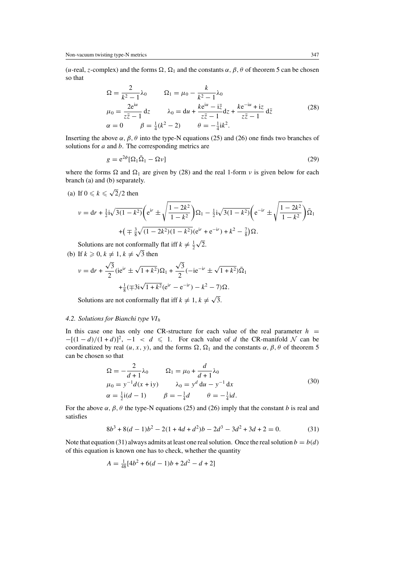(u-real, z-complex) and the forms  $\Omega$ ,  $\Omega_1$  and the constants  $\alpha$ ,  $\beta$ ,  $\theta$  of theorem 5 can be chosen so that

$$
\Omega = \frac{2}{k^2 - 1} \lambda_0 \qquad \Omega_1 = \mu_0 - \frac{k}{k^2 - 1} \lambda_0
$$
  
\n
$$
\mu_0 = \frac{2e^{i\mu}}{z\overline{z} - 1} dz \qquad \lambda_0 = du + \frac{ke^{i\mu} - i\overline{z}}{z\overline{z} - 1} dz + \frac{ke^{-i\mu} + i\overline{z}}{z\overline{z} - 1} d\overline{z}
$$
(28)  
\n
$$
\alpha = 0 \qquad \beta = \frac{1}{4}(k^2 - 2) \qquad \theta = -\frac{1}{4}ik^2.
$$

Inserting the above  $\alpha$ ,  $\beta$ ,  $\theta$  into the type-N equations (25) and (26) one finds two branches of solutions for  $a$  and  $b$ . The corresponding metrics are

$$
g = e^{2\phi} [\Omega_1 \bar{\Omega}_1 - \Omega \nu]
$$
 (29)

where the forms  $\Omega$  and  $\Omega_1$  are given by (28) and the real 1-form v is given below for each branch (a) and (b) separately.

(a) If  $0 \le k \le \sqrt{2}/2$  then

$$
\nu = dr + \frac{1}{2}i\sqrt{3(1 - k^2)} \left( e^{ir} \pm \sqrt{\frac{1 - 2k^2}{1 - k^2}} \right) \Omega_1 - \frac{1}{2}i\sqrt{3(1 - k^2)} \left( e^{-ir} \pm \sqrt{\frac{1 - 2k^2}{1 - k^2}} \right) \overline{\Omega}_1
$$

$$
+ \left( \mp \frac{3}{8} \sqrt{(1 - 2k^2)(1 - k^2)} \left( e^{ir} + e^{-ir} \right) + k^2 - \frac{7}{8} \right) \Omega.
$$

Solutions are not conformally flat iff  $k \neq \frac{1}{2}\sqrt{2}$ .

(b) If  $k \geqslant 0, k \neq 1, k \neq \sqrt{3}$  then  $v = dr +$  $\frac{\sqrt{3}}{2}$ (ie<sup>ir</sup> ±  $\sqrt{1+k^2}$ ) $\Omega_1 + \frac{\sqrt{3}}{2}$ (-ie<sup>-ir</sup> ±  $\sqrt{1+k^2}$ ) $\bar{\Omega}_1$ 

$$
2\n+ \frac{1}{8}(\mp 3i\sqrt{1+k^2}(e^{ir}-e^{-ir})-k^2-7)\Omega.
$$

Solutions are not conformally flat iff  $k \neq 1, k \neq \sqrt{3}$ .

#### *4.2. Solutions for Bianchi type VI*<sup>h</sup>

In this case one has only one CR-structure for each value of the real parameter  $h =$  $-[ (1-d)/(1+d) ]^2$ ,  $-1 < d \le 1$ . For each value of d the CR-manifold N can be coordinatized by real  $(u, x, y)$ , and the forms  $\Omega$ ,  $\Omega_1$  and the constants  $\alpha$ ,  $\beta$ ,  $\theta$  of theorem 5 can be chosen so that

$$
\Omega = -\frac{2}{d+1}\lambda_0 \qquad \Omega_1 = \mu_0 + \frac{d}{d+1}\lambda_0 \n\mu_0 = y^{-1}d(x+iy) \qquad \lambda_0 = y^d du - y^{-1} dx \n\alpha = \frac{1}{2}\mathbf{i}(d-1) \qquad \beta = -\frac{1}{4}d \qquad \theta = -\frac{1}{4}\mathbf{i}d.
$$
\n(30)

For the above  $\alpha$ ,  $\beta$ ,  $\theta$  the type-N equations (25) and (26) imply that the constant b is real and satisfies

$$
8b3 + 8(d - 1)b2 - 2(1 + 4d + d2)b - 2d3 - 3d2 + 3d + 2 = 0.
$$
 (31)

Note that equation (31) always admits at least one real solution. Once the real solution  $b = b(d)$ of this equation is known one has to check, whether the quantity

$$
A = \frac{1}{48} [4b^2 + 6(d-1)b + 2d^2 - d + 2]
$$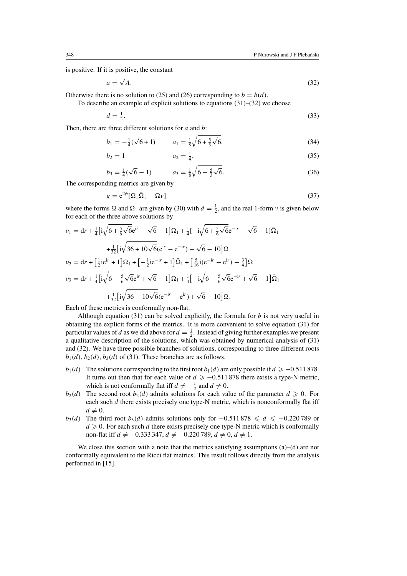is positive. If it is positive, the constant

$$
a = \sqrt{A}.\tag{32}
$$

Otherwise there is no solution to (25) and (26) corresponding to  $b = b(d)$ .

To describe an example of explicit solutions to equations (31)–(32) we choose

$$
d = \frac{1}{2}.\tag{33}
$$

Then, there are three different solutions for  $a$  and  $b$ :

$$
b_1 = -\frac{1}{4}(\sqrt{6} + 1) \qquad a_1 = \frac{1}{8}\sqrt{6 + \frac{5}{3}\sqrt{6}},\tag{34}
$$

$$
b_2 = 1 \t a_2 = \frac{1}{4}, \t (35)
$$

$$
b_3 = \frac{1}{4}(\sqrt{6} - 1) \qquad a_3 = \frac{1}{8}\sqrt{6 - \frac{5}{3}\sqrt{6}}.
$$
 (36)

The corresponding metrics are given by

$$
g = e^{2\phi} [\Omega_1 \bar{\Omega}_1 - \Omega \nu]
$$
 (37)

where the forms  $\Omega$  and  $\Omega_1$  are given by (30) with  $d = \frac{1}{2}$ , and the real 1-form  $\nu$  is given below for each of the three above solutions by

$$
\nu_1 = dr + \frac{1}{4} \Big[ i \sqrt{6 + \frac{5}{6} \sqrt{6}} e^{ir} - \sqrt{6} - 1 \Big] \Omega_1 + \frac{1}{4} \Big[ -i \sqrt{6 + \frac{5}{6} \sqrt{6}} e^{-ir} - \sqrt{6} - 1 \Big] \overline{\Omega}_1
$$
  
+ 
$$
\frac{1}{32} \Big[ i \sqrt{36 + 10 \sqrt{6}} (e^{ir} - e^{-ir}) - \sqrt{6} - 10 \Big] \Omega
$$
  

$$
\nu_2 = dr + \Big[ \frac{1}{2} i e^{ir} + 1 \Big] \Omega_1 + \Big[ -\frac{1}{2} i e^{-ir} + 1 \Big] \overline{\Omega}_1 + \Big[ \frac{5}{16} i (e^{-ir} - e^{ir}) - \frac{3}{4} \Big] \Omega
$$
  

$$
\nu_3 = dr + \frac{1}{4} \Big[ i \sqrt{6 - \frac{5}{6} \sqrt{6}} e^{ir} + \sqrt{6} - 1 \Big] \Omega_1 + \frac{1}{4} \Big[ -i \sqrt{6 - \frac{5}{6} \sqrt{6}} e^{-ir} + \sqrt{6} - 1 \Big] \overline{\Omega}_1
$$
  
+ 
$$
\frac{1}{32} \Big[ i \sqrt{36 - 10 \sqrt{6}} (e^{-ir} - e^{ir}) + \sqrt{6} - 10 \Big] \Omega.
$$

Each of these metrics is conformally non-flat.

Although equation (31) can be solved explicitly, the formula for  $b$  is not very useful in obtaining the explicit forms of the metrics. It is more convenient to solve equation (31) for particular values of d as we did above for  $d = \frac{1}{2}$ . Instead of giving further examples we present a qualitative description of the solutions, which was obtained by numerical analysis of (31) and (32). We have three possible branches of solutions, corresponding to three different roots  $b_1(d)$ ,  $b_2(d)$ ,  $b_3(d)$  of (31). These branches are as follows.

- $b_1(d)$  The solutions corresponding to the first root  $b_1(d)$  are only possible if  $d \geq -0.511 878$ . It turns out then that for each value of  $d \ge -0.511\,878$  there exists a type-N metric, which is not conformally flat iff  $d \neq -\frac{1}{2}$  and  $d \neq 0$ .
- $b_2(d)$  The second root  $b_2(d)$  admits solutions for each value of the parameter  $d \ge 0$ . For each such  $d$  there exists precisely one type-N metric, which is nonconformally flat iff  $d \neq 0$ .
- $b_3(d)$  The third root  $b_3(d)$  admits solutions only for  $-0.511878 \le d \le -0.220789$  or  $d \geq 0$ . For each such d there exists precisely one type-N metric which is conformally non-flat iff  $d \neq -0.333347$ ,  $d \neq -0.220789$ ,  $d \neq 0$ ,  $d \neq 1$ .

We close this section with a note that the metrics satisfying assumptions  $(a)$ – $(d)$  are not conformally equivalent to the Ricci flat metrics. This result follows directly from the analysis performed in [15].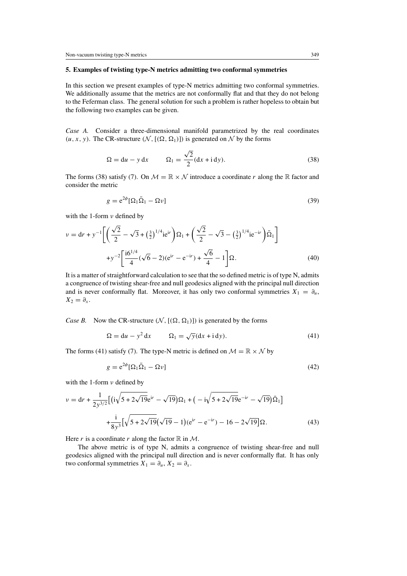## **5. Examples of twisting type-N metrics admitting two conformal symmetries**

In this section we present examples of type-N metrics admitting two conformal symmetries. We additionally assume that the metrics are not conformally flat and that they do not belong to the Feferman class. The general solution for such a problem is rather hopeless to obtain but the following two examples can be given.

*Case A.* Consider a three-dimensional manifold parametrized by the real coordinates  $(u, x, y)$ . The CR-structure  $(N, [(\Omega, \Omega_1)])$  is generated on N by the forms

$$
\Omega = du - y dx \qquad \Omega_1 = \frac{\sqrt{2}}{2} (dx + idy). \tag{38}
$$

The forms (38) satisfy (7). On  $M = \mathbb{R} \times \mathbb{N}$  introduce a coordinate r along the  $\mathbb R$  factor and consider the metric

$$
g = e^{2\phi} [\Omega_1 \bar{\Omega}_1 - \Omega \nu]
$$
 (39)

with the 1-form  $\nu$  defined by

$$
v = dr + y^{-1} \left[ \left( \frac{\sqrt{2}}{2} - \sqrt{3} + \left( \frac{3}{2} \right)^{1/4} i e^{ir} \right) \Omega_1 + \left( \frac{\sqrt{2}}{2} - \sqrt{3} - \left( \frac{3}{2} \right)^{1/4} i e^{-ir} \right) \overline{\Omega}_1 \right] + y^{-2} \left[ \frac{i 6^{1/4}}{4} (\sqrt{6} - 2) (e^{ir} - e^{-ir}) + \frac{\sqrt{6}}{4} - 1 \right] \Omega.
$$
 (40)

It is a matter of straightforward calculation to see that the so defined metric is of type N, admits a congruence of twisting shear-free and null geodesics aligned with the principal null direction and is never conformally flat. Moreover, it has only two conformal symmetries  $X_1 = \partial_u$ ,  $X_2 = \partial_x$ .

*Case B.* Now the CR-structure  $(N, [(\Omega, \Omega_1)])$  is generated by the forms

$$
\Omega = du - y^2 dx \qquad \Omega_1 = \sqrt{y}(dx + idy). \tag{41}
$$

The forms (41) satisfy (7). The type-N metric is defined on  $\mathcal{M} = \mathbb{R} \times \mathcal{N}$  by

$$
g = e^{2\phi} [\Omega_1 \bar{\Omega}_1 - \Omega \nu]
$$
\n(42)

with the 1-form  $\nu$  defined by

$$
v = dr + \frac{1}{2y^{3/2}} \Big[ \left( i\sqrt{5 + 2\sqrt{19}} e^{ir} - \sqrt{19} \right) \Omega_1 + \left( -i\sqrt{5 + 2\sqrt{19}} e^{-ir} - \sqrt{19} \right) \overline{\Omega}_1 \Big] + \frac{i}{8y^3} \Big[ \sqrt{5 + 2\sqrt{19}} \Big( \sqrt{19} - 1 \Big) (e^{ir} - e^{-ir}) - 16 - 2\sqrt{19} \Big] \Omega.
$$
 (43)

Here r is a coordinate r along the factor  $\mathbb R$  in  $\mathcal M$ .

The above metric is of type N, admits a congruence of twisting shear-free and null geodesics aligned with the principal null direction and is never conformally flat. It has only two conformal symmetries  $X_1 = \partial_u, X_2 = \partial_x$ .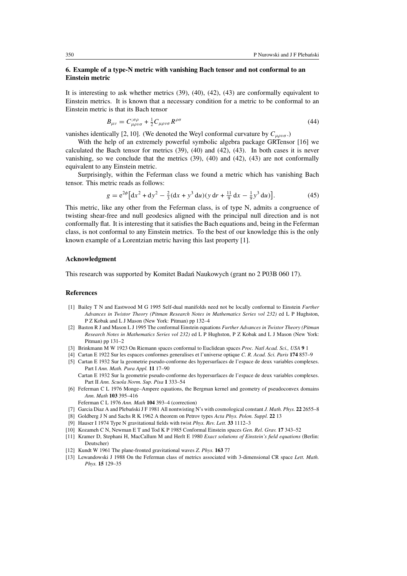# **6. Example of a type-N metric with vanishing Bach tensor and not conformal to an Einstein metric**

It is interesting to ask whether metrics (39), (40), (42), (43) are conformally equivalent to Einstein metrics. It is known that a necessary condition for a metric to be conformal to an Einstein metric is that its Bach tensor

$$
B_{\mu\nu} = C_{\mu\rho\nu\sigma}^{;\sigma\rho} + \frac{1}{2} C_{\mu\rho\nu\sigma} R^{\rho\sigma} \tag{44}
$$

vanishes identically [2, 10]. (We denoted the Weyl conformal curvature by  $C_{\mu\rho\nu\sigma}$ .)

With the help of an extremely powerful symbolic algebra package GRTensor [16] we calculated the Bach tensor for metrics (39), (40) and (42), (43). In both cases it is never vanishing, so we conclude that the metrics (39), (40) and (42), (43) are not conformally equivalent to any Einstein metric.

Surprisingly, within the Feferman class we found a metric which has vanishing Bach tensor. This metric reads as follows:

$$
g = e^{2\phi} \left[ dx^2 + dy^2 - \frac{2}{3} (dx + y^3 du)(y dr + \frac{11}{9} dx - \frac{1}{9} y^3 du) \right].
$$
 (45)

This metric, like any other from the Feferman class, is of type N, admits a congruence of twisting shear-free and null geodesics aligned with the principal null direction and is not conformally flat. It is interesting that it satisfies the Bach equations and, being in the Feferman class, is not conformal to any Einstein metrics. To the best of our knowledge this is the only known example of a Lorentzian metric having this last property [1].

## **Acknowledgment**

This research was supported by Komitet Badan Naukowych (grant no 2 P03B 060 17). ´

# **References**

- [1] Bailey T N and Eastwood M G 1995 Self-dual manifolds need not be locally conformal to Einstein *Further Advances in Twistor Theory (Pitman Research Notes in Mathematics Series vol 232)* ed L P Hughston, P Z Kobak and L J Mason (New York: Pitman) pp 132-4
- [2] Baston R J and Mason L J 1995 The conformal Einstein equations *Further Advances in Twistor Theory (Pitman Research Notes in Mathematics Series vol 232)* ed L P Hughston, P Z Kobak andLJMason (New York: Pitman) pp 131–2
- [3] Brinkmann M W 1923 On Riemann spaces conformal to Euclidean spaces *Proc. Natl Acad. Sci., USA* **9** 1
- [4] Cartan E 1922 Sur les espaces conformes generalises et l'universe optique *C. R. Acad. Sci. Paris* **174** 857–9
- [5] Cartan E 1932 Sur la geometrie pseudo-conforme des hypersurfaces de l'espace de deux variables complexes. Part I *Ann. Math. Pura Appl.* **11** 17–90
	- Cartan E 1932 Sur la geometrie pseudo-conforme des hypersurfaces de l'espace de deux variables complexes. Part II *Ann. Scuola Norm. Sup. Pisa* **1** 333–54
- [6] Feferman C L 1976 Monge–Ampere equations, the Bergman kernel and geometry of pseudoconvex domains *Ann. Math* **103** 395–416
	- Feferman C L 1976 *Ann. Math* **104** 393–4 (correction)
- [7] Garcia Diaz A and Plebański J F 1981 All nontwisting N's with cosmological constant *J. Math. Phys.* 22 2655–8
- [8] Goldberg J N and Sachs R K 1962 A theorem on Petrov types *Acta Phys. Polon. Suppl.* **22** 13
- [9] Hauser I 1974 Type N gravitational fields with twist *Phys. Rev. Lett.* **33** 1112–3
- [10] Kozameh C N, Newman E T and Tod K P 1985 Conformal Einstein spaces *Gen. Rel. Grav.* **17** 343–52
- [11] Kramer D, Stephani H, MacCallum M and Herlt E 1980 *Exact solutions of Einstein's field equations* (Berlin: Deutscher)
- [12] Kundt W 1961 The plane-fronted gravitational waves *Z. Phys.* **163** 77
- [13] Lewandowski J 1988 On the Feferman class of metrics associated with 3-dimensional CR space *Lett. Math. Phys.* **15** 129–35